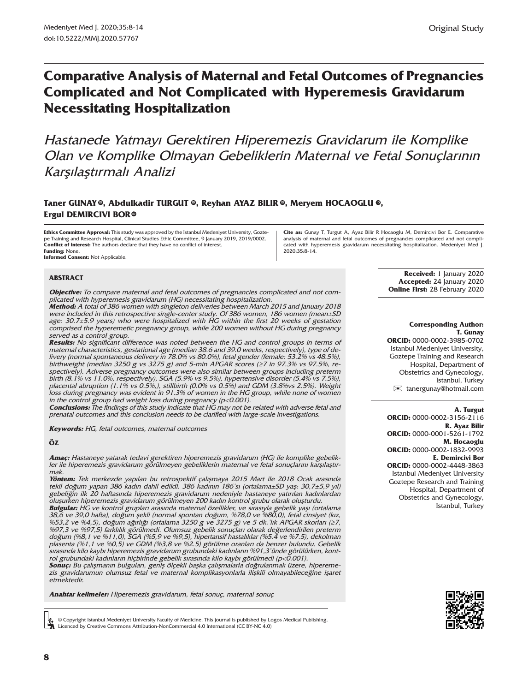# **Comparative Analysis of Maternal and Fetal Outcomes of Pregnancies Complicated and Not Complicated with Hyperemesis Gravidarum Necessitating Hospitalization**

Hastanede Yatmayı Gerektiren Hiperemezis Gravidarum ile Komplike Olan ve Komplike Olmayan Gebeliklerin Maternal ve Fetal Sonuçlarının Karşılaştırmalı Analizi

### **Taner GUNA[Y ,](https://orcid.org/0000-0002-3985-0702) Abdulkadir TURGUT [,](https://orcid.org/0000-0002-3156-2116) Reyhan AYAZ BILIR [,](https://orcid.org/0000-0001-5261-1792) Meryem HOCAOGLU [,](https://orcid.org/0000-0002-1832-9993) ID ID ID ID Ergul DEMIRCIVI BOR®**

**Ethics Committee Approval:** This study was approved by the Istanbul Medeniyet University, Goztepe Training and Research Hospital, Clinical Studies Ethic Committee, 9 January 2019, 2019/0002. **Conflict of interest:** The authors declare that they have no conflict of interest. **Funding:** None.

**Informed Consent:** Not Applicable.

#### **ABSTRACT**

**Objective:** To compare maternal and fetal outcomes of pregnancies complicated and not com-

plicated with hyperemesis gravidarum (HG) necessitating hospitalization. **Method:** A total of 386 women with singleton deliveries between March 2015 and January 2018 were included in this retrospective single-center study. Of 386 women, 186 women (mean±SD age: 30.7±5.9 years) who were hospitalized with HG within the first 20 weeks of gestation comprised the hyperemetic pregnancy group, while 200 women without HG during pregnancy served as a control group.

**Results:** No significant difference was noted between the HG and control groups in terms of maternal characteristics, gestational age (median 38.6 and 39.0 weeks, respectively), type of delivery (normal spontaneous delivery in 78.0% vs 80.0%), fetal gender (female: 53.2% vs 48.5%), birthweight (median 3250 g vs 3275 g) and 5-min APGAR scores ( $\geq$ 7 in 97.3% vs 97.5%, respectively). Adverse pregnancy outcomes were also similar between groups including preterm birth (8.1% vs 11.0%, respectively), SGA (5.9% vs 9.5%), hypertensive disorder (5.4% vs 7.5%), placental abruption (1.1% vs 0.5%,), stillbirth (0.0% vs 0.5%) and GDM (3.8%vs 2.5%). Weight loss during pregnancy was evident in 91.3% of women in the HG group, while none of women in the control group had weight loss during pregnancy (p<0.001).

**Conclusions:** The findings of this study indicate that HG may not be related with adverse fetal and prenatal outcomes and this conclusion needs to be clarified with large-scale investigations.

**Keywords:** HG, fetal outcomes, maternal outcomes

#### **ÖZ**

**Amaç:** Hastaneye yatarak tedavi gerektiren hiperemezis gravidarum (HG) ile komplike gebelikler ile hiperemezis gravidarum görülmeyen gebeliklerin maternal ve fetal sonuçlarını karşılaştırmak.

**Yöntem:** Tek merkezde yapılan bu retrospektif çalışmaya 2015 Mart ile 2018 Ocak arasında tekil doğum yapan 386 kadın dahil edildi. 386 kadının 186'sı (ortalama±SD yaş: 30,7±5,9 yıl) gebeliğin ilk 20 haftasında hiperemezis gravidarum nedeniyle hastaneye yatırılan kadınlardan oluşurken hiperemezis gravidarum görülmeyen 200 kadın kontrol grubu olarak oluşturdu.

**Bulgular:** HG ve kontrol grupları arasında maternal özellikler, ve sırasıyla gebelik yaşı (ortalama 38,6 ve 39,0 hafta), doğum şekli (normal spontan doğum, %78,0 ve %80,0), fetal cinsiyet (kız, %53,2 ve %4,5), doğum ağırlığı (ortalama 3250 g ve 3275 g) ve 5 dk.'lık APGAR skorları (≥7, %97,3 ve %97,5) farklılık görülmedi. Olumsuz gebelik sonuçları olarak değerlendirilen preterm doğum (%8,1 ve %11,0), SGA (%5,9 ve %9,5), hipertansif hastalıklar (%5.4 ve %7.5), dekolman plasenta (%1,1 ve %0,5) ve GDM (%3,8 ve %2.5) görülme oranları da benzer bulundu. Gebelik sırasında kilo kaybı hiperemezis gravidarum grubundaki kadınların %91,3'ünde görülürken, kontrol grubundaki kadınların hiçbirinde gebelik sırasında kilo kaybı görülmedi (p<0.001).

**Sonuç:** Bu çalışmanın bulguları, geniş ölçekli başka çalışmalarla doğrulanmak üzere, hiperemezis gravidarumun olumsuz fetal ve maternal komplikasyonlarla ilişkili olmayabileceğine işaret etmektedir.

**Anahtar kelimeler:** Hiperemezis gravidarum, fetal sonuç, maternal sonuç

© Copyright Istanbul Medeniyet University Faculty of Medicine. This journal is published by Logos Medical Publishing. Licenced by Creative Commons Attribution-NonCommercial 4.0 International (CC BY-NC 4.0)

**Cite as:** Gunay T, Turgut A, Ayaz Bilir R Hocaoglu M, Demircivi Bor E. Comparative analysis of maternal and fetal outcomes of pregnancies complicated and not complicated with hyperemesis gravidarum necessitating hospitalization. Medeniyet Med J. 2020;35:8-14.

> **Received:** 1 January 2020 **Accepted:** 24 January 2020 **Online First:** 28 February 2020

#### **Corresponding Author: T. Gunay**

**ORCID:** 0000-0002-3985-0702 Istanbul Medeniyet University, Goztepe Training and Research Hospital, Department of Obstetrics and Gynecology, Istanbul, Turkey [✉](mailto:tanergunay@hotmail.com) tanergunay@hotmail.com

#### **A. Turgut**

**ORCID:** 0000-0002-3156-2116 **R. Ayaz Bilir ORCID:** 0000-0001-5261-1792 **M. Hocaoglu ORCID:** 0000-0002-1832-9993 **E. Demircivi Bor ORCID:** 0000-0002-4448-3863 Istanbul Medeniyet University Goztepe Research and Training Hospital, Department of Obstetrics and Gynecology, Istanbul, Turkey

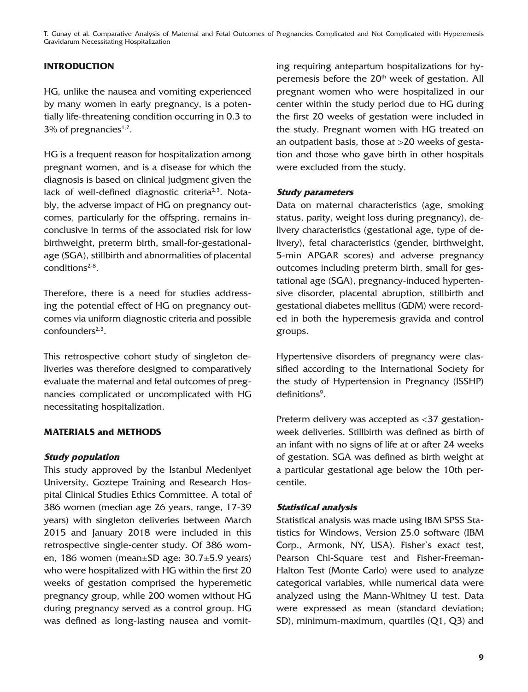T. Gunay et al. Comparative Analysis of Maternal and Fetal Outcomes of Pregnancies Complicated and Not Complicated with Hyperemesis Gravidarum Necessitating Hospitalization

## **INTRODUCTION**

HG, unlike the nausea and vomiting experienced by many women in early pregnancy, is a potentially life-threatening condition occurring in 0.3 to  $3\%$  of pregnancies<sup>1,2</sup>.

HG is a frequent reason for hospitalization among pregnant women, and is a disease for which the diagnosis is based on clinical judgment given the lack of well-defined diagnostic criteria<sup>2,3</sup>. Notably, the adverse impact of HG on pregnancy outcomes, particularly for the offspring, remains inconclusive in terms of the associated risk for low birthweight, preterm birth, small-for-gestationalage (SGA), stillbirth and abnormalities of placental conditions $2-8$ .

Therefore, there is a need for studies addressing the potential effect of HG on pregnancy outcomes via uniform diagnostic criteria and possible confounders2,3.

This retrospective cohort study of singleton deliveries was therefore designed to comparatively evaluate the maternal and fetal outcomes of pregnancies complicated or uncomplicated with HG necessitating hospitalization.

#### **MATERIALS and METHODS**

#### **Study population**

This study approved by the Istanbul Medeniyet University, Goztepe Training and Research Hospital Clinical Studies Ethics Committee. A total of 386 women (median age 26 years, range, 17-39 years) with singleton deliveries between March 2015 and January 2018 were included in this retrospective single-center study. Of 386 women, 186 women (mean±SD age: 30.7±5.9 years) who were hospitalized with HG within the first 20 weeks of gestation comprised the hyperemetic pregnancy group, while 200 women without HG during pregnancy served as a control group. HG was defined as long-lasting nausea and vomiting requiring antepartum hospitalizations for hyperemesis before the 20<sup>th</sup> week of gestation. All pregnant women who were hospitalized in our center within the study period due to HG during the first 20 weeks of gestation were included in the study. Pregnant women with HG treated on an outpatient basis, those at >20 weeks of gestation and those who gave birth in other hospitals were excluded from the study.

### **Study parameters**

Data on maternal characteristics (age, smoking status, parity, weight loss during pregnancy), delivery characteristics (gestational age, type of delivery), fetal characteristics (gender, birthweight, 5-min APGAR scores) and adverse pregnancy outcomes including preterm birth, small for gestational age (SGA), pregnancy-induced hypertensive disorder, placental abruption, stillbirth and gestational diabetes mellitus (GDM) were recorded in both the hyperemesis gravida and control groups.

Hypertensive disorders of pregnancy were classified according to the International Society for the study of Hypertension in Pregnancy (ISSHP) definitions<sup>9</sup>.

Preterm delivery was accepted as <37 gestationweek deliveries. Stillbirth was defined as birth of an infant with no signs of life at or after 24 weeks of gestation. SGA was defined as birth weight at a particular gestational age below the 10th percentile.

#### **Statistical analysis**

Statistical analysis was made using IBM SPSS Statistics for Windows, Version 25.0 software (IBM Corp., Armonk, NY, USA). Fisher's exact test, Pearson Chi-Square test and Fisher-Freeman-Halton Test (Monte Carlo) were used to analyze categorical variables, while numerical data were analyzed using the Mann-Whitney U test. Data were expressed as mean (standard deviation; SD), minimum-maximum, quartiles (Q1, Q3) and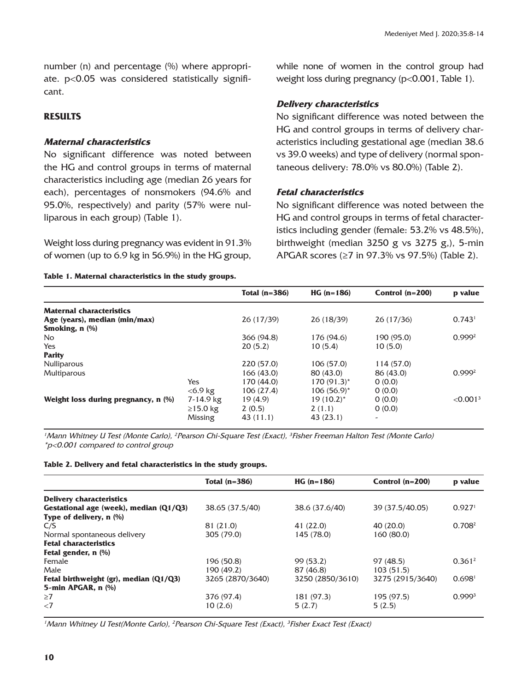number (n) and percentage (%) where appropriate. p<0.05 was considered statistically significant.

### **RESULTS**

#### **Maternal characteristics**

No significant difference was noted between the HG and control groups in terms of maternal characteristics including age (median 26 years for each), percentages of nonsmokers (94.6% and 95.0%, respectively) and parity (57% were nulliparous in each group) (Table 1).

Weight loss during pregnancy was evident in 91.3% of women (up to 6.9 kg in 56.9%) in the HG group,

#### **Table 1. Maternal characteristics in the study groups.**

while none of women in the control group had weight loss during pregnancy (p<0.001, Table 1).

### **Delivery characteristics**

No significant difference was noted between the HG and control groups in terms of delivery characteristics including gestational age (median 38.6 vs 39.0 weeks) and type of delivery (normal spontaneous delivery: 78.0% vs 80.0%) (Table 2).

### **Fetal characteristics**

No significant difference was noted between the HG and control groups in terms of fetal characteristics including gender (female: 53.2% vs 48.5%), birthweight (median 3250 g vs 3275 g,), 5-min APGAR scores (≥7 in 97.3% vs 97.5%) (Table 2).

|                                     |                | Total $(n=386)$ | $HG (n=186)$    | Control $(n=200)$ | p value              |
|-------------------------------------|----------------|-----------------|-----------------|-------------------|----------------------|
| <b>Maternal characteristics</b>     |                |                 |                 |                   |                      |
| Age (years), median (min/max)       |                | 26 (17/39)      | 26 (18/39)      | 26 (17/36)        | 0.743 <sup>1</sup>   |
| Smoking, $n$ $%$                    |                |                 |                 |                   |                      |
| No.                                 |                | 366 (94.8)      | 176 (94.6)      | 190 (95.0)        | 0.999 <sup>2</sup>   |
| Yes                                 |                | 20(5.2)         | 10(5.4)         | 10(5.0)           |                      |
| <b>Parity</b>                       |                |                 |                 |                   |                      |
| <b>Nulliparous</b>                  |                | 220 (57.0)      | 106 (57.0)      | 114 (57.0)        |                      |
| <b>Multiparous</b>                  |                | 166(43.0)       | 80 (43.0)       | 86 (43.0)         | 0.999 <sup>2</sup>   |
|                                     | Yes            | 170 (44.0)      | $170(91.3)^{*}$ | O(0.0)            |                      |
|                                     | $<$ 6.9 kg     | 106(27.4)       | $106(56.9)^{*}$ | O(0.0)            |                      |
| Weight loss during pregnancy, n (%) | 7-14.9 kg      | 19(4.9)         | $19(10.2)^{*}$  | O(0.0)            | < 0.001 <sup>3</sup> |
|                                     | $\geq$ 15.0 kg | 2(0.5)          | 2(1.1)          | 0(0.0)            |                      |
|                                     | Missing        | 43 (11.1)       | 43(23.1)        |                   |                      |
|                                     |                |                 |                 |                   |                      |

<sup>1</sup>Mann Whitney U Test (Monte Carlo), <sup>2</sup> Pearson Chi-Square Test (Exact), <sup>3</sup> Fisher Freeman Halton Test (Monte Carlo) \*p<0.001 compared to control group

|  |  |  | Table 2. Delivery and fetal characteristics in the study groups. |  |  |  |
|--|--|--|------------------------------------------------------------------|--|--|--|
|--|--|--|------------------------------------------------------------------|--|--|--|

|                                             | Total (n=386)    | $HG (n=186)$     | Control $(n=200)$ | p value            |
|---------------------------------------------|------------------|------------------|-------------------|--------------------|
| <b>Delivery characteristics</b>             |                  |                  |                   |                    |
| Gestational age (week), median (Q1/Q3)      | 38.65 (37.5/40)  | 38.6 (37.6/40)   | 39 (37.5/40.05)   | 0.927 <sup>1</sup> |
| Type of delivery, n (%)                     |                  |                  |                   |                    |
| C/S                                         | 81 (21.0)        | 41 (22.0)        | 40 (20.0)         | 0.708 <sup>2</sup> |
| Normal spontaneous delivery                 | 305 (79.0)       | 145 (78.0)       | 160 (80.0)        |                    |
| <b>Fetal characteristics</b>                |                  |                  |                   |                    |
| Fetal gender, n (%)                         |                  |                  |                   |                    |
| Female                                      | 196 (50.8)       | 99(53.2)         | 97 (48.5)         | 0.361 <sup>2</sup> |
| Male                                        | 190 (49.2)       | 87 (46.8)        | 103(51.5)         |                    |
| Fetal birthweight $(gr)$ , median $(Q1/Q3)$ | 3265 (2870/3640) | 3250 (2850/3610) | 3275 (2915/3640)  | 0.698 <sup>1</sup> |
| 5-min APGAR, n (%)                          |                  |                  |                   |                    |
| $\geq$ 7                                    | 376 (97.4)       | 181 (97.3)       | 195 (97.5)        | 0.999 <sup>3</sup> |
| $\langle 7$                                 | 10(2.6)          | 5(2.7)           | 5(2.5)            |                    |
|                                             |                  |                  |                   |                    |

<sup>1</sup> Mann Whitney U Test(Monte Carlo), <sup>2</sup> Pearson Chi-Square Test (Exact), <sup>3</sup> Fisher Exact Test (Exact)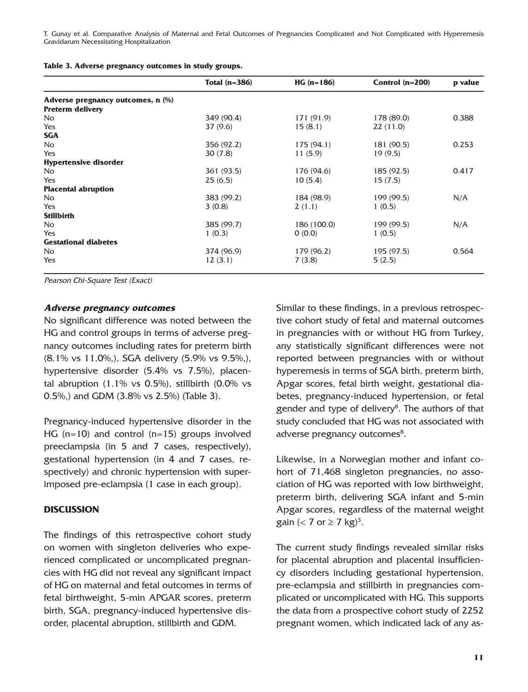T. Gunay et al. Comparative Analysis of Maternal and Fetal Outcomes of Pregnancies Complicated and Not Complicated with Hyperemesis Gravidarum Necessitating Hospitalization

| Table 3. Adverse pregnancy outcomes in study groups. |  |  |  |  |
|------------------------------------------------------|--|--|--|--|
|------------------------------------------------------|--|--|--|--|

|                                   | Total $(n=386)$ | $HG (n=186)$ | Control $(n=200)$ | p value |
|-----------------------------------|-----------------|--------------|-------------------|---------|
| Adverse pregnancy outcomes, n (%) |                 |              |                   |         |
| <b>Preterm delivery</b>           |                 |              |                   |         |
| No                                | 349 (90.4)      | 171 (91.9)   | 178 (89.0)        | 0.388   |
| Yes                               | 37(9.6)         | 15(8.1)      | 22(11.0)          |         |
| <b>SGA</b>                        |                 |              |                   |         |
| <b>No</b>                         | 356 (92.2)      | 175 (94.1)   | 181 (90.5)        | 0.253   |
| Yes                               | 30(7.8)         | 11(5.9)      | 19(9.5)           |         |
| <b>Hypertensive disorder</b>      |                 |              |                   |         |
| No.                               | 361 (93.5)      | 176 (94.6)   | 185 (92.5)        | 0.417   |
| Yes                               | 25(6.5)         | 10(5.4)      | 15(7.5)           |         |
| <b>Placental abruption</b>        |                 |              |                   |         |
| No                                | 383 (99.2)      | 184 (98.9)   | 199 (99.5)        | N/A     |
| Yes                               | 3(0.8)          | 2(1.1)       | 1(0.5)            |         |
| <b>Stillbirth</b>                 |                 |              |                   |         |
| N <sub>o</sub>                    | 385 (99.7)      | 186 (100.0)  | 199 (99.5)        | N/A     |
| Yes                               | 1(0.3)          | 0(0.0)       | 1(0.5)            |         |
| <b>Gestational diabetes</b>       |                 |              |                   |         |
| N <sub>o</sub>                    | 374 (96.9)      | 179 (96.2)   | 195 (97.5)        | 0.564   |
| Yes                               | 12(3.1)         | 7(3.8)       | 5(2.5)            |         |

Pearson Chi-Square Test (Exact)

#### **Adverse pregnancy outcomes**

No significant difference was noted between the HG and control groups in terms of adverse pregnancy outcomes including rates for preterm birth (8.1% vs 11.0%,), SGA delivery (5.9% vs 9.5%,), hypertensive disorder (5.4% vs 7.5%), placental abruption  $(1.1\%$  vs 0.5%), stillbirth  $(0.0\%$  vs 0.5%,) and GDM (3.8% vs 2.5%) (Table 3).

Pregnancy-induced hypertensive disorder in the HG  $(n=10)$  and control  $(n=15)$  groups involved preeclampsia (in 5 and 7 cases, respectively), gestational hypertension (in 4 and 7 cases, respectively) and chronic hypertension with superimposed pre-eclampsia (1 case in each group).

#### **DISCUSSION**

The findings of this retrospective cohort study on women with singleton deliveries who experienced complicated or uncomplicated pregnancies with HG did not reveal any significant impact of HG on maternal and fetal outcomes in terms of fetal birthweight, 5-min APGAR scores, preterm birth, SGA, pregnancy-induced hypertensive disorder, placental abruption, stillbirth and GDM.

Similar to these findings, in a previous retrospective cohort study of fetal and maternal outcomes in pregnancies with or without HG from Turkey, any statistically significant differences were not reported between pregnancies with or without hyperemesis in terms of SGA birth, preterm birth, Apgar scores, fetal birth weight, gestational diabetes, pregnancy-induced hypertension, or fetal gender and type of delivery<sup>8</sup>. The authors of that study concluded that HG was not associated with adverse pregnancy outcomes<sup>8</sup>.

Likewise, in a Norwegian mother and infant cohort of 71,468 singleton pregnancies, no association of HG was reported with low birthweight, preterm birth, delivering SGA infant and 5-min Apgar scores, regardless of the maternal weight gain (< 7 or  $\geq$  7 kg)<sup>3</sup>.

The current study findings revealed similar risks for placental abruption and placental insufficiency disorders including gestational hypertension, pre-eclampsia and stillbirth in pregnancies complicated or uncomplicated with HG. This supports the data from a prospective cohort study of 2252 pregnant women, which indicated lack of any as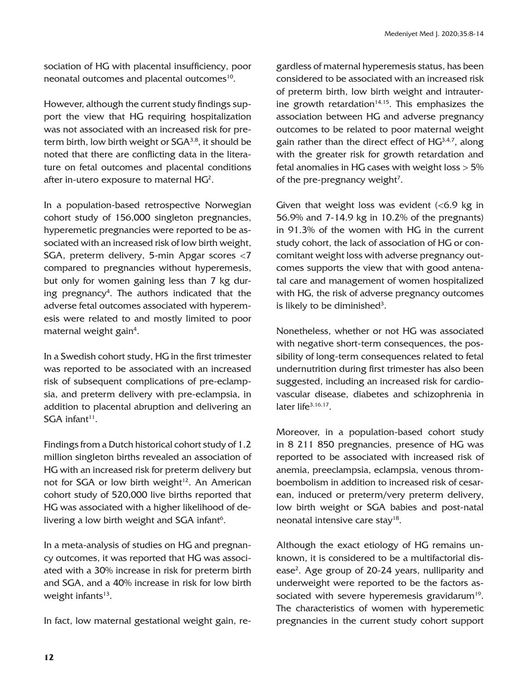sociation of HG with placental insufficiency, poor neonatal outcomes and placental outcomes<sup>10</sup>.

However, although the current study findings support the view that HG requiring hospitalization was not associated with an increased risk for preterm birth, low birth weight or  $SGA^{3,8}$ , it should be noted that there are conflicting data in the literature on fetal outcomes and placental conditions after in-utero exposure to maternal  $HG^2$ .

In a population-based retrospective Norwegian cohort study of 156,000 singleton pregnancies, hyperemetic pregnancies were reported to be associated with an increased risk of low birth weight, SGA, preterm delivery, 5-min Apgar scores <7 compared to pregnancies without hyperemesis, but only for women gaining less than 7 kg during pregnancy4 . The authors indicated that the adverse fetal outcomes associated with hyperemesis were related to and mostly limited to poor maternal weight gain $^4$ .

In a Swedish cohort study, HG in the first trimester was reported to be associated with an increased risk of subsequent complications of pre-eclampsia, and preterm delivery with pre-eclampsia, in addition to placental abruption and delivering an  $SGA$  infant<sup>11</sup>.

Findings from a Dutch historical cohort study of 1.2 million singleton births revealed an association of HG with an increased risk for preterm delivery but not for SGA or low birth weight<sup>12</sup>. An American cohort study of 520,000 live births reported that HG was associated with a higher likelihood of delivering a low birth weight and  $SGA$  infant $6$ .

In a meta-analysis of studies on HG and pregnancy outcomes, it was reported that HG was associated with a 30% increase in risk for preterm birth and SGA, and a 40% increase in risk for low birth weight infants $13$ .

In fact, low maternal gestational weight gain, re-

gardless of maternal hyperemesis status, has been considered to be associated with an increased risk of preterm birth, low birth weight and intrauterine growth retardation $14,15$ . This emphasizes the association between HG and adverse pregnancy outcomes to be related to poor maternal weight gain rather than the direct effect of  $HG^{3,4,7}$ , along with the greater risk for growth retardation and fetal anomalies in HG cases with weight loss > 5% of the pre-pregnancy weight<sup>7</sup>.

Given that weight loss was evident  $\langle$  <6.9 kg in 56.9% and 7-14.9 kg in 10.2% of the pregnants) in 91.3% of the women with HG in the current study cohort, the lack of association of HG or concomitant weight loss with adverse pregnancy outcomes supports the view that with good antenatal care and management of women hospitalized with HG, the risk of adverse pregnancy outcomes is likely to be diminished<sup>3</sup>.

Nonetheless, whether or not HG was associated with negative short-term consequences, the possibility of long-term consequences related to fetal undernutrition during first trimester has also been suggested, including an increased risk for cardiovascular disease, diabetes and schizophrenia in later life<sup>3,16,17</sup>.

Moreover, in a population-based cohort study in 8 211 850 pregnancies, presence of HG was reported to be associated with increased risk of anemia, preeclampsia, eclampsia, venous thromboembolism in addition to increased risk of cesarean, induced or preterm/very preterm delivery, low birth weight or SGA babies and post-natal neonatal intensive care stay<sup>18</sup>.

Although the exact etiology of HG remains unknown, it is considered to be a multifactorial disease<sup>2</sup>. Age group of 20-24 years, nulliparity and underweight were reported to be the factors associated with severe hyperemesis gravidarum<sup>19</sup>. The characteristics of women with hyperemetic pregnancies in the current study cohort support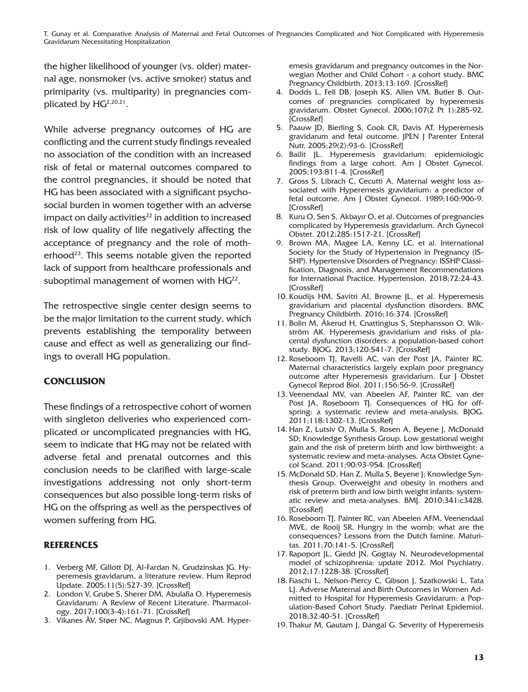T. Gunay et al. Comparative Analysis of Maternal and Fetal Outcomes of Pregnancies Complicated and Not Complicated with Hyperemesis Gravidarum Necessitating Hospitalization

the higher likelihood of younger (vs. older) maternal age, nonsmoker (vs. active smoker) status and primiparity (vs. multiparity) in pregnancies complicated by HG2,20,21.

While adverse pregnancy outcomes of HG are conflicting and the current study findings revealed no association of the condition with an increased risk of fetal or maternal outcomes compared to the control pregnancies, it should be noted that HG has been associated with a significant psychosocial burden in women together with an adverse impact on daily activities $^{22}$  in addition to increased risk of low quality of life negatively affecting the acceptance of pregnancy and the role of motherhood<sup>23</sup>. This seems notable given the reported lack of support from healthcare professionals and suboptimal management of women with  $HG^{22}$ .

The retrospective single center design seems to be the major limitation to the current study, which prevents establishing the temporality between cause and effect as well as generalizing our findings to overall HG population.

# **CONCLUSION**

These findings of a retrospective cohort of women with singleton deliveries who experienced complicated or uncomplicated pregnancies with HG, seem to indicate that HG may not be related with adverse fetal and prenatal outcomes and this conclusion needs to be clarified with large-scale investigations addressing not only short-term consequences but also possible long-term risks of HG on the offspring as well as the perspectives of women suffering from HG.

### **REFERENCES**

- 1. Verberg MF, Gillott DJ, Al-Fardan N, Grudzinskas JG. Hyperemesis gravidarum, a literature review. Hum Reprod Update. 2005;11(5):527-39. [\[CrossRef\]](https://doi.org/10.1093/humupd/dmi021)
- 2. London V, Grube S, Sherer DM, Abulafia O. Hyperemesis Gravidarum: A Review of Recent Literature. Pharmacology. 2017;100(3-4):161-71. [\[CrossRef\]](https://doi.org/10.1159/000477853)
- 3. Vikanes ÅV, Støer NC, Magnus P, Grjibovski AM. Hyper-

emesis gravidarum and pregnancy outcomes in the Norwegian Mother and Child Cohort - a cohort study. BMC Pregnancy Childbirth. 2013;13:169. [\[CrossRef\]](https://doi.org/10.1186/1471-2393-13-169)

- 4. Dodds L, Fell DB, Joseph KS, Allen VM, Butler B. Outcomes of pregnancies complicated by hyperemesis gravidarum. Obstet Gynecol. 2006;107(2 Pt 1):285-92. [\[CrossRef\]](https://doi.org/10.1097/01.AOG.0000195060.22832.cd)
- 5. Paauw JD, Bierling S, Cook CR, Davis AT. Hyperemesis gravidarum and fetal outcome. JPEN J Parenter Enteral Nutr. 2005;29(2):93-6. [\[CrossRef\]](https://doi.org/10.1177/014860710502900293)
- 6. Bailit JL. Hyperemesis gravidarium: epidemiologic findings from a large cohort. Am J Obstet Gynecol. 2005;193:811-4. [\[CrossRef\]](https://doi.org/10.1016/j.ajog.2005.02.132)
- 7. Gross S, Librach C, Cecutti A. Maternal weight loss associated with Hyperemesis gravidarium: a predictor of fetal outcome. Am J Obstet Gynecol. 1989;160:906-9. **[\[CrossRef\]](https://doi.org/10.1016/0002-9378(89)90307-4)**
- 8. Kuru O, Sen S, Akbayır O, et al. Outcomes of pregnancies complicated by Hyperemesis gravidarium. Arch Gynecol Obstet. 2012;285:1517-21. [\[CrossRef\]](https://doi.org/10.1007/s00404-011-2176-3)
- 9. Brown MA, Magee LA, Kenny LC, et al. International Society for the Study of Hypertension in Pregnancy (IS-SHP). Hypertensive Disorders of Pregnancy: ISSHP Classification, Diagnosis, and Management Recommendations for International Practice. Hypertension. 2018;72:24-43. [\[CrossRef\]](https://doi.org/10.1161/HYPERTENSIONAHA.117.10803)
- 10. Koudijs HM, Savitri AI, Browne JL, et al. Hyperemesis gravidarium and placental dysfunction disorders. BMC Pregnancy Childbirth. 2016;16:374. [\[CrossRef\]](https://doi.org/10.1186/s12884-016-1174-7)
- 11. Bolin M, Åkerud H, Cnattingius S, Stephansson O, Wikström AK. Hyperemesis gravidarium and risks of placental dysfunction disorders: a population-based cohort study. BJOG. 2013;120:541-7. [\[CrossRef\]](https://doi.org/10.1111/1471-0528.12132)
- 12. Roseboom TJ, Ravelli AC, van der Post JA, Painter RC. Maternal characteristics largely explain poor pregnancy outcome after Hyperemesis gravidarium. Eur J Obstet Gynecol Reprod Biol. 2011;156:56-9. [\[CrossRef\]](https://doi.org/10.1016/j.ejogrb.2011.01.010)
- 13. Veenendaal MV, van Abeelen AF, Painter RC, van der Post JA, Roseboom TJ. Consequences of HG for offspring: a systematic review and meta-analysis. BJOG. 2011;118:1302-13. [\[CrossRef\]](https://doi.org/10.1111/j.1471-0528.2011.03023.x)
- 14. Han Z, Lutsiv O, Mulla S, Rosen A, Beyene J, McDonald SD; Knowledge Synthesis Group. Low gestational weight gain and the risk of preterm birth and low birthweight: a systematic review and meta-analyses. Acta Obstet Gynecol Scand. 2011;90:93-954. [\[CrossRef\]](https://doi.org/10.1111/j.1600-0412.2011.01185.x)
- 15. McDonald SD, Han Z, Mulla S, Beyene J; Knowledge Synthesis Group. Overweight and obesity in mothers and risk of preterm birth and low birth weight infants: systematic review and meta-analyses. BMJ. 2010;341:c3428. [\[CrossRef\]](https://doi.org/10.1136/bmj.c3428)
- 16. Roseboom TJ, Painter RC, van Abeelen AFM, Veenendaal MVE, de Rooij SR. Hungry in the womb: what are the consequences? Lessons from the Dutch famine. Maturitas. 2011;70:141-5. [\[CrossRef\]](https://doi.org/10.1016/j.maturitas.2011.06.017)
- 17. Rapoport JL, Giedd JN, Gogtay N. Neurodevelopmental model of schizophrenia: update 2012. Mol Psychiatry. 2012;17:1228-38. [\[CrossRef\]](https://doi.org/10.1038/mp.2012.23)
- 18. Fiaschi L, Nelson-Piercy C, Gibson J, Szatkowski L, Tata LJ. Adverse Maternal and Birth Outcomes in Women Admitted to Hospital for Hyperemesis Gravidarum: a Population-Based Cohort Study. Paediatr Perinat Epidemiol. 2018;32:40-51. [\[CrossRef\]](https://doi.org/10.1111/ppe.12416)
- 19. Thakur M, Gautam J, Dangal G. Severity of Hyperemesis